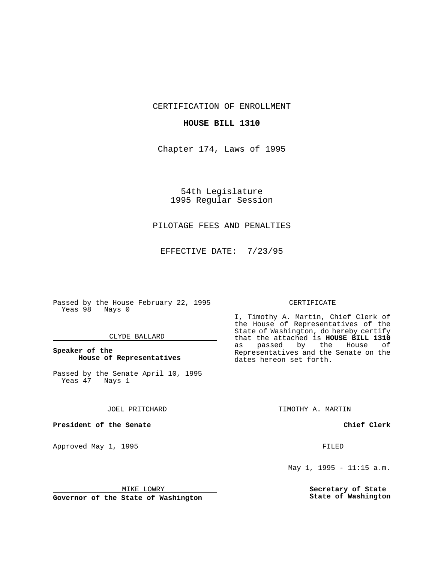CERTIFICATION OF ENROLLMENT

## **HOUSE BILL 1310**

Chapter 174, Laws of 1995

54th Legislature 1995 Regular Session

# PILOTAGE FEES AND PENALTIES

EFFECTIVE DATE: 7/23/95

Passed by the House February 22, 1995 Yeas 98 Nays 0

## CLYDE BALLARD

## **Speaker of the House of Representatives**

Passed by the Senate April 10, 1995<br>Yeas 47 Nays 1 Yeas 47

#### JOEL PRITCHARD

**President of the Senate**

Approved May 1, 1995 **FILED** 

#### MIKE LOWRY

**Governor of the State of Washington**

#### CERTIFICATE

I, Timothy A. Martin, Chief Clerk of the House of Representatives of the State of Washington, do hereby certify that the attached is **HOUSE BILL 1310** as passed by the House of Representatives and the Senate on the dates hereon set forth.

TIMOTHY A. MARTIN

## **Chief Clerk**

May 1, 1995 - 11:15 a.m.

**Secretary of State State of Washington**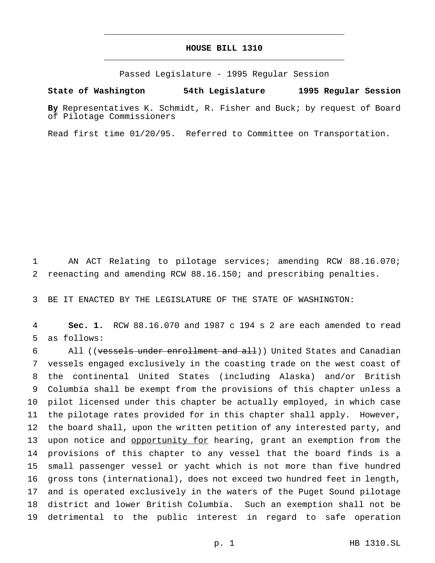# **HOUSE BILL 1310** \_\_\_\_\_\_\_\_\_\_\_\_\_\_\_\_\_\_\_\_\_\_\_\_\_\_\_\_\_\_\_\_\_\_\_\_\_\_\_\_\_\_\_\_\_\_\_

\_\_\_\_\_\_\_\_\_\_\_\_\_\_\_\_\_\_\_\_\_\_\_\_\_\_\_\_\_\_\_\_\_\_\_\_\_\_\_\_\_\_\_\_\_\_\_

Passed Legislature - 1995 Regular Session

#### **State of Washington 54th Legislature 1995 Regular Session**

**By** Representatives K. Schmidt, R. Fisher and Buck; by request of Board of Pilotage Commissioners

Read first time 01/20/95. Referred to Committee on Transportation.

 AN ACT Relating to pilotage services; amending RCW 88.16.070; reenacting and amending RCW 88.16.150; and prescribing penalties.

BE IT ENACTED BY THE LEGISLATURE OF THE STATE OF WASHINGTON:

 **Sec. 1.** RCW 88.16.070 and 1987 c 194 s 2 are each amended to read as follows:

6 All ((vessels under enrollment and all)) United States and Canadian vessels engaged exclusively in the coasting trade on the west coast of the continental United States (including Alaska) and/or British Columbia shall be exempt from the provisions of this chapter unless a pilot licensed under this chapter be actually employed, in which case the pilotage rates provided for in this chapter shall apply. However, the board shall, upon the written petition of any interested party, and 13 upon notice and opportunity for hearing, grant an exemption from the provisions of this chapter to any vessel that the board finds is a small passenger vessel or yacht which is not more than five hundred gross tons (international), does not exceed two hundred feet in length, and is operated exclusively in the waters of the Puget Sound pilotage district and lower British Columbia. Such an exemption shall not be detrimental to the public interest in regard to safe operation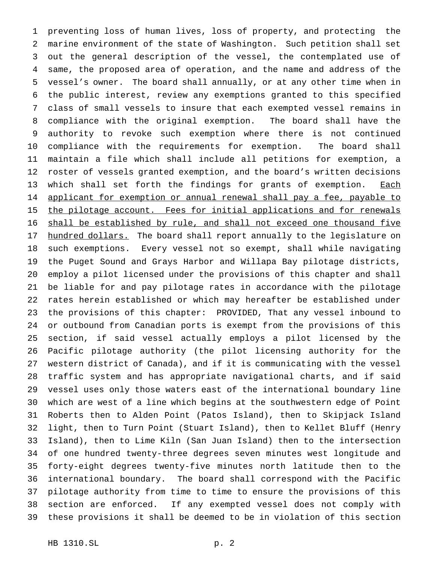preventing loss of human lives, loss of property, and protecting the marine environment of the state of Washington. Such petition shall set out the general description of the vessel, the contemplated use of same, the proposed area of operation, and the name and address of the vessel's owner. The board shall annually, or at any other time when in the public interest, review any exemptions granted to this specified class of small vessels to insure that each exempted vessel remains in compliance with the original exemption. The board shall have the authority to revoke such exemption where there is not continued compliance with the requirements for exemption. The board shall maintain a file which shall include all petitions for exemption, a roster of vessels granted exemption, and the board's written decisions 13 which shall set forth the findings for grants of exemption. Each 14 applicant for exemption or annual renewal shall pay a fee, payable to 15 the pilotage account. Fees for initial applications and for renewals 16 shall be established by rule, and shall not exceed one thousand five 17 hundred dollars. The board shall report annually to the legislature on such exemptions. Every vessel not so exempt, shall while navigating the Puget Sound and Grays Harbor and Willapa Bay pilotage districts, employ a pilot licensed under the provisions of this chapter and shall be liable for and pay pilotage rates in accordance with the pilotage rates herein established or which may hereafter be established under the provisions of this chapter: PROVIDED, That any vessel inbound to or outbound from Canadian ports is exempt from the provisions of this section, if said vessel actually employs a pilot licensed by the Pacific pilotage authority (the pilot licensing authority for the western district of Canada), and if it is communicating with the vessel traffic system and has appropriate navigational charts, and if said vessel uses only those waters east of the international boundary line which are west of a line which begins at the southwestern edge of Point Roberts then to Alden Point (Patos Island), then to Skipjack Island light, then to Turn Point (Stuart Island), then to Kellet Bluff (Henry Island), then to Lime Kiln (San Juan Island) then to the intersection of one hundred twenty-three degrees seven minutes west longitude and forty-eight degrees twenty-five minutes north latitude then to the international boundary. The board shall correspond with the Pacific pilotage authority from time to time to ensure the provisions of this section are enforced. If any exempted vessel does not comply with these provisions it shall be deemed to be in violation of this section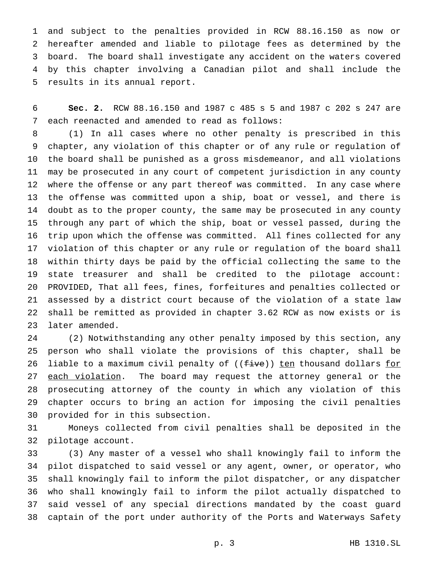and subject to the penalties provided in RCW 88.16.150 as now or hereafter amended and liable to pilotage fees as determined by the board. The board shall investigate any accident on the waters covered by this chapter involving a Canadian pilot and shall include the results in its annual report.

 **Sec. 2.** RCW 88.16.150 and 1987 c 485 s 5 and 1987 c 202 s 247 are each reenacted and amended to read as follows:

 (1) In all cases where no other penalty is prescribed in this chapter, any violation of this chapter or of any rule or regulation of the board shall be punished as a gross misdemeanor, and all violations may be prosecuted in any court of competent jurisdiction in any county where the offense or any part thereof was committed. In any case where the offense was committed upon a ship, boat or vessel, and there is doubt as to the proper county, the same may be prosecuted in any county through any part of which the ship, boat or vessel passed, during the trip upon which the offense was committed. All fines collected for any violation of this chapter or any rule or regulation of the board shall within thirty days be paid by the official collecting the same to the state treasurer and shall be credited to the pilotage account: PROVIDED, That all fees, fines, forfeitures and penalties collected or assessed by a district court because of the violation of a state law shall be remitted as provided in chapter 3.62 RCW as now exists or is later amended.

 (2) Notwithstanding any other penalty imposed by this section, any person who shall violate the provisions of this chapter, shall be 26 liable to a maximum civil penalty of ((five)) ten thousand dollars for 27 each violation. The board may request the attorney general or the prosecuting attorney of the county in which any violation of this chapter occurs to bring an action for imposing the civil penalties provided for in this subsection.

 Moneys collected from civil penalties shall be deposited in the pilotage account.

 (3) Any master of a vessel who shall knowingly fail to inform the pilot dispatched to said vessel or any agent, owner, or operator, who shall knowingly fail to inform the pilot dispatcher, or any dispatcher who shall knowingly fail to inform the pilot actually dispatched to said vessel of any special directions mandated by the coast guard captain of the port under authority of the Ports and Waterways Safety